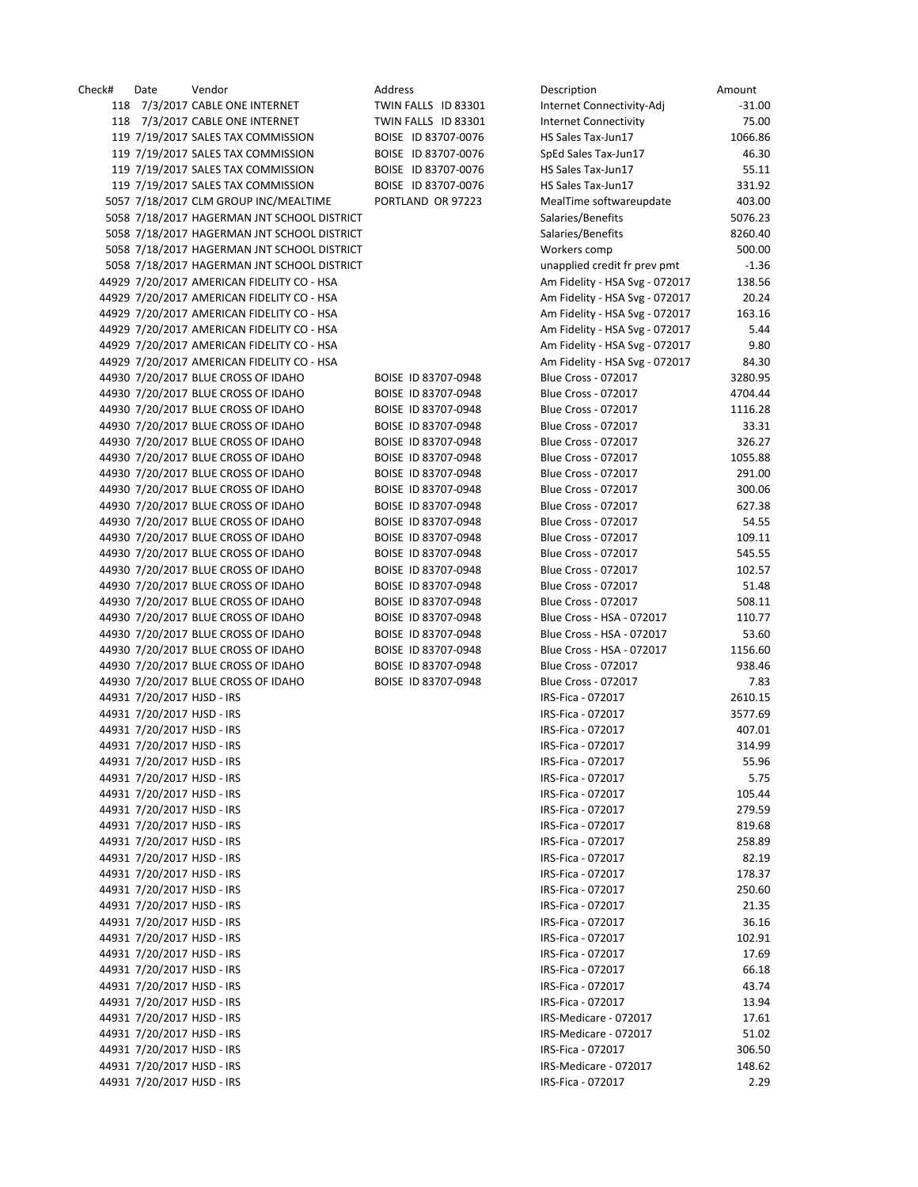| Check# | Date                       | Vendor                                      | Address             | Description                    | Amount   |
|--------|----------------------------|---------------------------------------------|---------------------|--------------------------------|----------|
|        |                            | 118 7/3/2017 CABLE ONE INTERNET             | TWIN FALLS ID 83301 | Internet Connectivity-Adj      | $-31.00$ |
|        |                            | 118 7/3/2017 CABLE ONE INTERNET             | TWIN FALLS ID 83301 | <b>Internet Connectivity</b>   | 75.00    |
|        |                            | 119 7/19/2017 SALES TAX COMMISSION          | BOISE ID 83707-0076 | HS Sales Tax-Jun17             | 1066.86  |
|        |                            | 119 7/19/2017 SALES TAX COMMISSION          | BOISE ID 83707-0076 | SpEd Sales Tax-Jun17           | 46.30    |
|        |                            | 119 7/19/2017 SALES TAX COMMISSION          | BOISE ID 83707-0076 | HS Sales Tax-Jun17             | 55.11    |
|        |                            | 119 7/19/2017 SALES TAX COMMISSION          | BOISE ID 83707-0076 | HS Sales Tax-Jun17             | 331.92   |
|        |                            | 5057 7/18/2017 CLM GROUP INC/MEALTIME       | PORTLAND OR 97223   | MealTime softwareupdate        | 403.00   |
|        |                            | 5058 7/18/2017 HAGERMAN JNT SCHOOL DISTRICT |                     | Salaries/Benefits              | 5076.23  |
|        |                            | 5058 7/18/2017 HAGERMAN JNT SCHOOL DISTRICT |                     | Salaries/Benefits              | 8260.40  |
|        |                            | 5058 7/18/2017 HAGERMAN JNT SCHOOL DISTRICT |                     | Workers comp                   | 500.00   |
|        |                            | 5058 7/18/2017 HAGERMAN JNT SCHOOL DISTRICT |                     | unapplied credit fr prev pmt   | $-1.36$  |
|        |                            | 44929 7/20/2017 AMERICAN FIDELITY CO - HSA  |                     | Am Fidelity - HSA Svg - 072017 | 138.56   |
|        |                            | 44929 7/20/2017 AMERICAN FIDELITY CO - HSA  |                     | Am Fidelity - HSA Svg - 072017 | 20.24    |
|        |                            | 44929 7/20/2017 AMERICAN FIDELITY CO - HSA  |                     | Am Fidelity - HSA Svg - 072017 | 163.16   |
|        |                            | 44929 7/20/2017 AMERICAN FIDELITY CO - HSA  |                     | Am Fidelity - HSA Svg - 072017 | 5.44     |
|        |                            | 44929 7/20/2017 AMERICAN FIDELITY CO - HSA  |                     | Am Fidelity - HSA Svg - 072017 | 9.80     |
|        |                            | 44929 7/20/2017 AMERICAN FIDELITY CO - HSA  |                     | Am Fidelity - HSA Svg - 072017 | 84.30    |
|        |                            | 44930 7/20/2017 BLUE CROSS OF IDAHO         | BOISE ID 83707-0948 | Blue Cross - 072017            | 3280.95  |
|        |                            | 44930 7/20/2017 BLUE CROSS OF IDAHO         | BOISE ID 83707-0948 | <b>Blue Cross - 072017</b>     | 4704.44  |
|        |                            | 44930 7/20/2017 BLUE CROSS OF IDAHO         | BOISE ID 83707-0948 | Blue Cross - 072017            | 1116.28  |
|        |                            | 44930 7/20/2017 BLUE CROSS OF IDAHO         | BOISE ID 83707-0948 | <b>Blue Cross - 072017</b>     | 33.31    |
|        |                            | 44930 7/20/2017 BLUE CROSS OF IDAHO         | BOISE ID 83707-0948 | <b>Blue Cross - 072017</b>     | 326.27   |
|        |                            | 44930 7/20/2017 BLUE CROSS OF IDAHO         | BOISE ID 83707-0948 | <b>Blue Cross - 072017</b>     | 1055.88  |
|        |                            | 44930 7/20/2017 BLUE CROSS OF IDAHO         | BOISE ID 83707-0948 | <b>Blue Cross - 072017</b>     | 291.00   |
|        |                            | 44930 7/20/2017 BLUE CROSS OF IDAHO         | BOISE ID 83707-0948 | <b>Blue Cross - 072017</b>     | 300.06   |
|        |                            | 44930 7/20/2017 BLUE CROSS OF IDAHO         | BOISE ID 83707-0948 | <b>Blue Cross - 072017</b>     | 627.38   |
|        |                            | 44930 7/20/2017 BLUE CROSS OF IDAHO         | BOISE ID 83707-0948 | <b>Blue Cross - 072017</b>     | 54.55    |
|        |                            | 44930 7/20/2017 BLUE CROSS OF IDAHO         | BOISE ID 83707-0948 | <b>Blue Cross - 072017</b>     | 109.11   |
|        |                            | 44930 7/20/2017 BLUE CROSS OF IDAHO         | BOISE ID 83707-0948 | Blue Cross - 072017            | 545.55   |
|        |                            | 44930 7/20/2017 BLUE CROSS OF IDAHO         | BOISE ID 83707-0948 | <b>Blue Cross - 072017</b>     | 102.57   |
|        |                            | 44930 7/20/2017 BLUE CROSS OF IDAHO         | BOISE ID 83707-0948 | Blue Cross - 072017            | 51.48    |
|        |                            | 44930 7/20/2017 BLUE CROSS OF IDAHO         | BOISE ID 83707-0948 | <b>Blue Cross - 072017</b>     | 508.11   |
|        |                            | 44930 7/20/2017 BLUE CROSS OF IDAHO         | BOISE ID 83707-0948 | Blue Cross - HSA - 072017      | 110.77   |
|        |                            | 44930 7/20/2017 BLUE CROSS OF IDAHO         | BOISE ID 83707-0948 | Blue Cross - HSA - 072017      | 53.60    |
|        |                            | 44930 7/20/2017 BLUE CROSS OF IDAHO         | BOISE ID 83707-0948 | Blue Cross - HSA - 072017      | 1156.60  |
|        |                            | 44930 7/20/2017 BLUE CROSS OF IDAHO         | BOISE ID 83707-0948 |                                |          |
|        |                            |                                             |                     | <b>Blue Cross - 072017</b>     | 938.46   |
|        |                            | 44930 7/20/2017 BLUE CROSS OF IDAHO         | BOISE ID 83707-0948 | Blue Cross - 072017            | 7.83     |
|        | 44931 7/20/2017 HJSD - IRS |                                             |                     | IRS-Fica - 072017              | 2610.15  |
|        | 44931 7/20/2017 HJSD - IRS |                                             |                     | IRS-Fica - 072017              | 3577.69  |
|        | 44931 7/20/2017 HJSD - IRS |                                             |                     | IRS-Fica - 072017              | 407.01   |
|        | 44931 7/20/2017 HJSD - IRS |                                             |                     | IRS-Fica - 072017              | 314.99   |
|        | 44931 7/20/2017 HJSD - IRS |                                             |                     | IRS-Fica - 072017              | 55.96    |
|        | 44931 7/20/2017 HJSD - IRS |                                             |                     | IRS-Fica - 072017              | 5.75     |
|        | 44931 7/20/2017 HJSD - IRS |                                             |                     | IRS-Fica - 072017              | 105.44   |
|        | 44931 7/20/2017 HJSD - IRS |                                             |                     | IRS-Fica - 072017              | 279.59   |
|        | 44931 7/20/2017 HJSD - IRS |                                             |                     | IRS-Fica - 072017              | 819.68   |
|        | 44931 7/20/2017 HJSD - IRS |                                             |                     | IRS-Fica - 072017              | 258.89   |
|        | 44931 7/20/2017 HJSD - IRS |                                             |                     | IRS-Fica - 072017              | 82.19    |
|        | 44931 7/20/2017 HJSD - IRS |                                             |                     | IRS-Fica - 072017              | 178.37   |
|        | 44931 7/20/2017 HJSD - IRS |                                             |                     | IRS-Fica - 072017              | 250.60   |
|        | 44931 7/20/2017 HJSD - IRS |                                             |                     | IRS-Fica - 072017              | 21.35    |
|        | 44931 7/20/2017 HJSD - IRS |                                             |                     | IRS-Fica - 072017              | 36.16    |
|        | 44931 7/20/2017 HJSD - IRS |                                             |                     | IRS-Fica - 072017              | 102.91   |
|        | 44931 7/20/2017 HJSD - IRS |                                             |                     | IRS-Fica - 072017              | 17.69    |
|        | 44931 7/20/2017 HJSD - IRS |                                             |                     | IRS-Fica - 072017              | 66.18    |
|        | 44931 7/20/2017 HJSD - IRS |                                             |                     | IRS-Fica - 072017              | 43.74    |
|        | 44931 7/20/2017 HJSD - IRS |                                             |                     | IRS-Fica - 072017              | 13.94    |
|        | 44931 7/20/2017 HJSD - IRS |                                             |                     | IRS-Medicare - 072017          | 17.61    |
|        | 44931 7/20/2017 HJSD - IRS |                                             |                     | IRS-Medicare - 072017          | 51.02    |
|        | 44931 7/20/2017 HJSD - IRS |                                             |                     | IRS-Fica - 072017              | 306.50   |
|        | 44931 7/20/2017 HJSD - IRS |                                             |                     | IRS-Medicare - 072017          | 148.62   |
|        | 44931 7/20/2017 HJSD - IRS |                                             |                     | IRS-Fica - 072017              | 2.29     |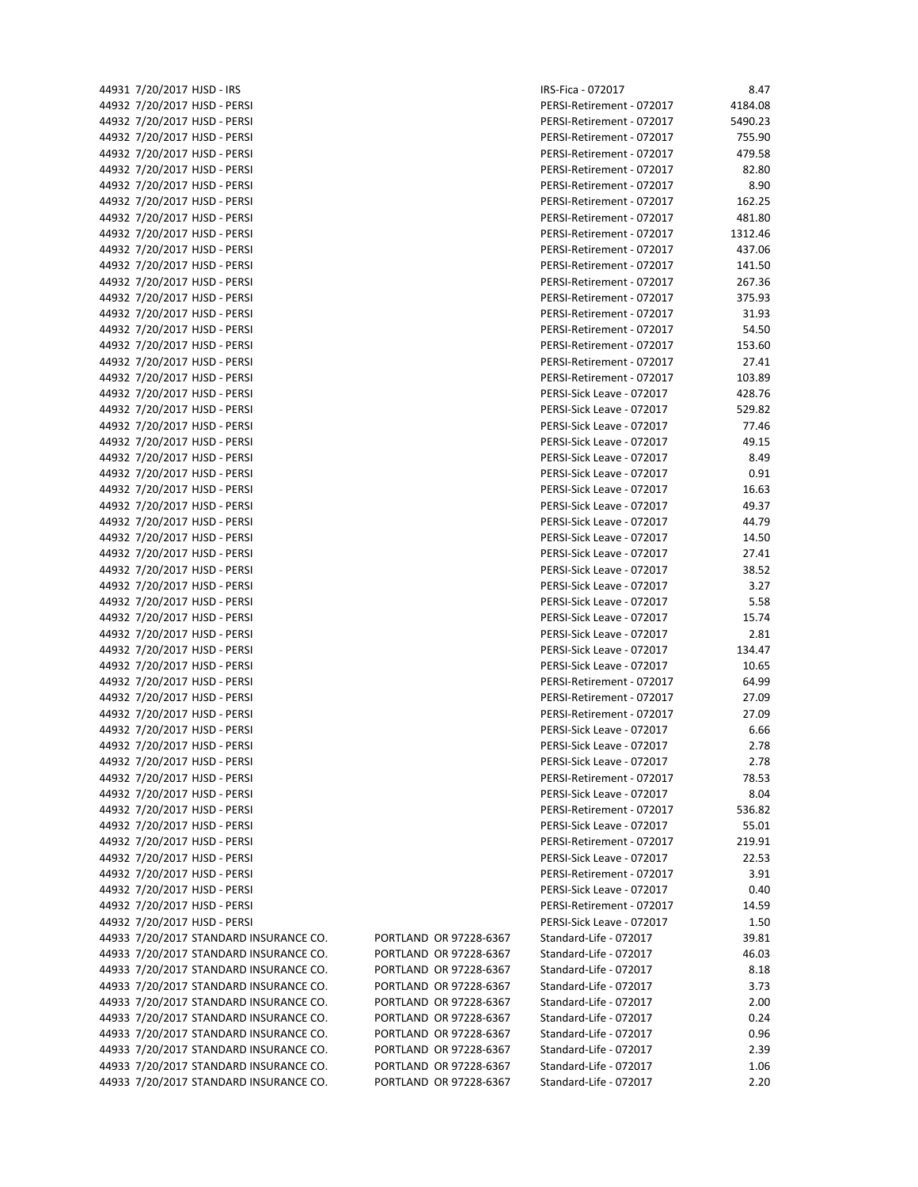|  | 44931 7/20/2017 HJSD - IRS        |
|--|-----------------------------------|
|  | 44932 7/20/2017 HJSD - PERSI      |
|  | 44932 7/20/2017 HJSD - PERSI      |
|  | 44932 7/20/2017 HJSD - PERSI      |
|  | 44932 7/20/2017 HJSD - PERSI      |
|  | 44932 7/20/2017 HJSD - PERSI      |
|  | 44932 7/20/2017 HJSD - PERSI      |
|  | 44932 7/20/2017 HJSD - PERSI      |
|  | 44932 7/20/2017 HJSD - PERSI      |
|  |                                   |
|  | 44932 7/20/2017 HJSD - PERSI      |
|  | 44932 7/20/2017 HJSD - PERSI      |
|  | 44932 7/20/2017 HJSD - PERSI      |
|  | 44932 7/20/2017 HJSD - PERSI      |
|  | 44932 7/20/2017 HJSD - PERSI      |
|  | 44932 7/20/2017 HJSD - PERSI      |
|  | 44932 7/20/2017 HJSD - PERSI      |
|  | 44932 7/20/2017 HJSD - PERSI      |
|  | 44932 7/20/2017 HJSD - PERSI      |
|  | 44932 7/20/2017 HJSD - PERSI      |
|  | 44932 7/20/2017 HJSD - PERSI      |
|  | 44932 7/20/2017 HJSD - PERSI      |
|  | 44932 7/20/2017 HJSD - PERSI      |
|  | 44932 7/20/2017 HJSD - PERSI      |
|  | 44932 7/20/2017 HJSD - PERSI      |
|  |                                   |
|  | 44932 7/20/2017 HJSD - PERSI      |
|  | 44932 7/20/2017 HJSD - PERSI      |
|  | 44932 7/20/2017 HJSD - PERSI      |
|  | 44932 7/20/2017 HJSD - PERSI      |
|  | 44932 7/20/2017 HJSD - PERSI      |
|  | 44932 7/20/2017 HJSD - PERSI      |
|  | 44932 7/20/2017 HJSD - PERSI      |
|  | 44932 7/20/2017 HJSD - PERSI      |
|  | 44932 7/20/2017 HJSD - PERSI      |
|  | 44932 7/20/2017 HJSD - PERSI      |
|  | 44932 7/20/2017 HJSD - PERSI      |
|  | 44932 7/20/2017 HJSD - PERSI      |
|  | 44932 7/20/2017 HJSD - PERSI      |
|  | 44932 7/20/2017 HJSD - PERSI      |
|  | 44932 7/20/2017 HJSD - PERSI      |
|  | 44932 7/20/2017 HJSD - PERSI      |
|  | 44932 7/20/2017 HJSD - PERSI      |
|  | 44932 7/20/2017 HJSD - PERSI      |
|  |                                   |
|  | 44932 7/20/2017 HJSD - PERSI      |
|  | 44932 7/20/2017 HJSD - PERSI      |
|  | 44932 7/20/2017 HJSD - PERSI      |
|  | 44932 7/20/2017 HJSD - PERSI      |
|  | 44932 7/20/2017 HJSD - PERSI      |
|  | 44932 7/20/2017 HJSD - PERSI      |
|  | 44932 7/20/2017 HJSD - PERSI      |
|  | 44932 7/20/2017 HJSD - PERSI      |
|  | 44932 7/20/2017 HJSD - PERSI      |
|  | 44932 7/20/2017 HJSD - PERSI      |
|  | 44932 7/20/2017 HJSD - PERSI      |
|  | 44933 7/20/2017 STANDARD INSURANC |
|  | 44933 7/20/2017 STANDARD INSURANC |
|  | 44933 7/20/2017 STANDARD INSURANC |
|  | 44933 7/20/2017 STANDARD INSURANC |
|  | 44933 7/20/2017 STANDARD INSURANC |
|  |                                   |
|  | 44933 7/20/2017 STANDARD INSURANC |
|  | 44933 7/20/2017 STANDARD INSURANC |
|  | 44933 7/20/2017 STANDARD INSURANC |
|  | 44933 7/20/2017 STANDARD INSURANC |
|  | 44933 7/20/2017 STANDARD INSURANC |

| 44931 7/20/2017 HJSD - IRS             |                        | IRS-Fica - 072017         | 8.47    |
|----------------------------------------|------------------------|---------------------------|---------|
| 44932 7/20/2017 HJSD - PERSI           |                        | PERSI-Retirement - 072017 | 4184.08 |
| 44932 7/20/2017 HJSD - PERSI           |                        | PERSI-Retirement - 072017 | 5490.23 |
| 44932 7/20/2017 HJSD - PERSI           |                        | PERSI-Retirement - 072017 | 755.90  |
| 44932 7/20/2017 HJSD - PERSI           |                        | PERSI-Retirement - 072017 | 479.58  |
| 44932 7/20/2017 HJSD - PERSI           |                        | PERSI-Retirement - 072017 | 82.80   |
| 44932 7/20/2017 HJSD - PERSI           |                        | PERSI-Retirement - 072017 | 8.90    |
|                                        |                        |                           |         |
| 44932 7/20/2017 HJSD - PERSI           |                        | PERSI-Retirement - 072017 | 162.25  |
| 44932 7/20/2017 HJSD - PERSI           |                        | PERSI-Retirement - 072017 | 481.80  |
| 44932 7/20/2017 HJSD - PERSI           |                        | PERSI-Retirement - 072017 | 1312.46 |
| 44932 7/20/2017 HJSD - PERSI           |                        | PERSI-Retirement - 072017 | 437.06  |
| 44932 7/20/2017 HJSD - PERSI           |                        | PERSI-Retirement - 072017 | 141.50  |
| 44932 7/20/2017 HJSD - PERSI           |                        | PERSI-Retirement - 072017 | 267.36  |
| 44932 7/20/2017 HJSD - PERSI           |                        | PERSI-Retirement - 072017 | 375.93  |
| 44932 7/20/2017 HJSD - PERSI           |                        | PERSI-Retirement - 072017 | 31.93   |
|                                        |                        |                           |         |
| 44932 7/20/2017 HJSD - PERSI           |                        | PERSI-Retirement - 072017 | 54.50   |
| 44932 7/20/2017 HJSD - PERSI           |                        | PERSI-Retirement - 072017 | 153.60  |
| 44932 7/20/2017 HJSD - PERSI           |                        | PERSI-Retirement - 072017 | 27.41   |
| 44932 7/20/2017 HJSD - PERSI           |                        | PERSI-Retirement - 072017 | 103.89  |
| 44932 7/20/2017 HJSD - PERSI           |                        | PERSI-Sick Leave - 072017 | 428.76  |
| 44932 7/20/2017 HJSD - PERSI           |                        | PERSI-Sick Leave - 072017 | 529.82  |
| 44932 7/20/2017 HJSD - PERSI           |                        | PERSI-Sick Leave - 072017 | 77.46   |
| 44932 7/20/2017 HJSD - PERSI           |                        | PERSI-Sick Leave - 072017 | 49.15   |
| 44932 7/20/2017 HJSD - PERSI           |                        | PERSI-Sick Leave - 072017 | 8.49    |
|                                        |                        | PERSI-Sick Leave - 072017 |         |
| 44932 7/20/2017 HJSD - PERSI           |                        |                           | 0.91    |
| 44932 7/20/2017 HJSD - PERSI           |                        | PERSI-Sick Leave - 072017 | 16.63   |
| 44932 7/20/2017 HJSD - PERSI           |                        | PERSI-Sick Leave - 072017 | 49.37   |
| 44932 7/20/2017 HJSD - PERSI           |                        | PERSI-Sick Leave - 072017 | 44.79   |
| 44932 7/20/2017 HJSD - PERSI           |                        | PERSI-Sick Leave - 072017 | 14.50   |
| 44932 7/20/2017 HJSD - PERSI           |                        | PERSI-Sick Leave - 072017 | 27.41   |
| 44932 7/20/2017 HJSD - PERSI           |                        | PERSI-Sick Leave - 072017 | 38.52   |
| 44932 7/20/2017 HJSD - PERSI           |                        | PERSI-Sick Leave - 072017 | 3.27    |
| 44932 7/20/2017 HJSD - PERSI           |                        | PERSI-Sick Leave - 072017 | 5.58    |
|                                        |                        |                           |         |
| 44932 7/20/2017 HJSD - PERSI           |                        | PERSI-Sick Leave - 072017 | 15.74   |
| 44932 7/20/2017 HJSD - PERSI           |                        | PERSI-Sick Leave - 072017 | 2.81    |
| 44932 7/20/2017 HJSD - PERSI           |                        | PERSI-Sick Leave - 072017 | 134.47  |
| 44932 7/20/2017 HJSD - PERSI           |                        | PERSI-Sick Leave - 072017 | 10.65   |
| 44932 7/20/2017 HJSD - PERSI           |                        | PERSI-Retirement - 072017 | 64.99   |
| 44932 7/20/2017 HJSD - PERSI           |                        | PERSI-Retirement - 072017 | 27.09   |
| 44932 7/20/2017 HJSD - PERSI           |                        | PERSI-Retirement - 072017 | 27.09   |
| 44932 7/20/2017 HJSD - PERSI           |                        | PERSI-Sick Leave - 072017 | 6.66    |
| 44932 7/20/2017 HJSD - PERSI           |                        | PERSI-Sick Leave - 072017 | 2.78    |
|                                        |                        |                           |         |
| 44932 7/20/2017 HJSD - PERSI           |                        | PERSI-Sick Leave - 072017 | 2.78    |
| 44932 7/20/2017 HJSD - PERSI           |                        | PERSI-Retirement - 072017 | 78.53   |
| 44932 7/20/2017 HJSD - PERSI           |                        | PERSI-Sick Leave - 072017 | 8.04    |
| 44932 7/20/2017 HJSD - PERSI           |                        | PERSI-Retirement - 072017 | 536.82  |
| 44932 7/20/2017 HJSD - PERSI           |                        | PERSI-Sick Leave - 072017 | 55.01   |
| 44932 7/20/2017 HJSD - PERSI           |                        | PERSI-Retirement - 072017 | 219.91  |
| 44932 7/20/2017 HJSD - PERSI           |                        | PERSI-Sick Leave - 072017 | 22.53   |
| 44932 7/20/2017 HJSD - PERSI           |                        | PERSI-Retirement - 072017 | 3.91    |
| 44932 7/20/2017 HJSD - PERSI           |                        | PERSI-Sick Leave - 072017 | 0.40    |
|                                        |                        | PERSI-Retirement - 072017 |         |
| 44932 7/20/2017 HJSD - PERSI           |                        |                           | 14.59   |
| 44932 7/20/2017 HJSD - PERSI           |                        | PERSI-Sick Leave - 072017 | 1.50    |
| 44933 7/20/2017 STANDARD INSURANCE CO. | PORTLAND OR 97228-6367 | Standard-Life - 072017    | 39.81   |
| 44933 7/20/2017 STANDARD INSURANCE CO. | PORTLAND OR 97228-6367 | Standard-Life - 072017    | 46.03   |
| 44933 7/20/2017 STANDARD INSURANCE CO. | PORTLAND OR 97228-6367 | Standard-Life - 072017    | 8.18    |
| 44933 7/20/2017 STANDARD INSURANCE CO. | PORTLAND OR 97228-6367 | Standard-Life - 072017    | 3.73    |
| 44933 7/20/2017 STANDARD INSURANCE CO. | PORTLAND OR 97228-6367 | Standard-Life - 072017    | 2.00    |
| 44933 7/20/2017 STANDARD INSURANCE CO. | PORTLAND OR 97228-6367 | Standard-Life - 072017    | 0.24    |
| 44933 7/20/2017 STANDARD INSURANCE CO. | PORTLAND OR 97228-6367 | Standard-Life - 072017    | 0.96    |
|                                        |                        |                           |         |
| 44933 7/20/2017 STANDARD INSURANCE CO. | PORTLAND OR 97228-6367 | Standard-Life - 072017    | 2.39    |
| 44933 7/20/2017 STANDARD INSURANCE CO. | PORTLAND OR 97228-6367 | Standard-Life - 072017    | 1.06    |
| 44933 7/20/2017 STANDARD INSURANCE CO. | PORTLAND OR 97228-6367 | Standard-Life - 072017    | 2.20    |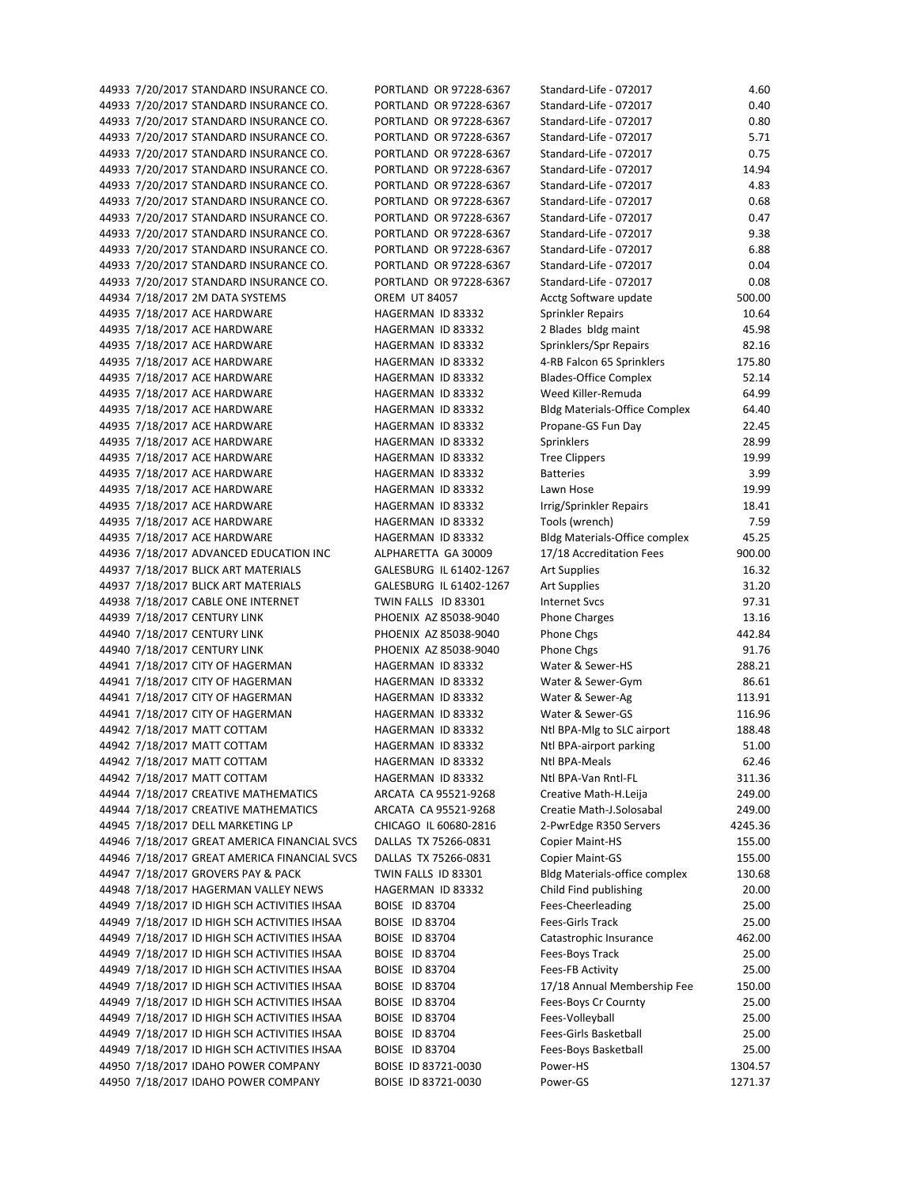44933 7/20/2017 STANDARD INSURANCE CO. PORTLAND OR 97228-6367 44933 7/20/2017 STANDARD INSURANCE CO. PORTLAND OR 97228-6367 44933 7/20/2017 STANDARD INSURANCE CO. PORTLAND OR 97228-6367 44933 7/20/2017 STANDARD INSURANCE CO. PORTLAND OR 97228-6367 44933 7/20/2017 STANDARD INSURANCE CO. PORTLAND OR 97228-6367 44933 7/20/2017 STANDARD INSURANCE CO. PORTLAND OR 97228-6367 44933 7/20/2017 STANDARD INSURANCE CO. PORTLAND OR 97228-6367 44933 7/20/2017 STANDARD INSURANCE CO. PORTLAND OR 97228-6367 44933 7/20/2017 STANDARD INSURANCE CO. PORTLAND OR 97228-6367 44933 7/20/2017 STANDARD INSURANCE CO. PORTLAND OR 97228-6367 44933 7/20/2017 STANDARD INSURANCE CO. PORTLAND OR 97228-6367 44933 7/20/2017 STANDARD INSURANCE CO. PORTLAND OR 97228-6367 44933 7/20/2017 STANDARD INSURANCE CO. PORTLAND OR 97228-6367 44934 7/18/2017 2M DATA SYSTEMS OREM UT 84057 44935 7/18/2017 ACE HARDWARE HAGERMAN ID 83332 44935 7/18/2017 ACE HARDWARE HAGERMAN ID 83332 44935 7/18/2017 ACE HARDWARE HAGERMAN ID 83332 44935 7/18/2017 ACE HARDWARE HAGERMAN ID 83332 44935 7/18/2017 ACE HARDWARE HAGERMAN ID 83332 44935 7/18/2017 ACE HARDWARE HAGERMAN ID 83332 44935 7/18/2017 ACE HARDWARE HAGERMAN ID 83332 44935 7/18/2017 ACE HARDWARE HAGERMAN ID 83332 44935 7/18/2017 ACE HARDWARE HAGERMAN ID 83332 44935 7/18/2017 ACE HARDWARE HAGERMAN ID 83332 44935 7/18/2017 ACE HARDWARE HAGERMAN ID 83332 44935 7/18/2017 ACE HARDWARE HAGERMAN ID 83332 44935 7/18/2017 ACE HARDWARE HAGERMAN ID 83332 44935 7/18/2017 ACE HARDWARE HAGERMAN ID 83332 44935 7/18/2017 ACE HARDWARE HAGERMAN ID 83332 44936 7/18/2017 ADVANCED EDUCATION INC ALPHARETTA GA 30009 44937 7/18/2017 BLICK ART MATERIALS GALESBURG IL 61402-1267 44937 7/18/2017 BLICK ART MATERIALS GALESBURG IL 61402-1267 44938 7/18/2017 CABLE ONE INTERNET TWIN FALLS ID 83301 44939 7/18/2017 CENTURY LINK PHOENIX AZ 85038-9040 44940 7/18/2017 CENTURY LINK PHOENIX AZ 85038-9040 44940 7/18/2017 CENTURY LINK PHOENIX AZ 85038-9040 44941 7/18/2017 CITY OF HAGERMAN HAGERMAN ID 83332 44941 7/18/2017 CITY OF HAGERMAN HAGERMAN ID 83332 44941 7/18/2017 CITY OF HAGERMAN HAGERMAN ID 83332 44941 7/18/2017 CITY OF HAGERMAN HAGERMAN ID 83332 44942 7/18/2017 MATT COTTAM HAGERMAN ID 83332 44942 7/18/2017 MATT COTTAM HAGERMAN ID 83332 44942 7/18/2017 MATT COTTAM HAGERMAN ID 83332 44942 7/18/2017 MATT COTTAM HAGERMAN ID 83332 44944 7/18/2017 CREATIVE MATHEMATICS ARCATA CA 95521-9268 44944 7/18/2017 CREATIVE MATHEMATICS ARCATA CA 95521-9268 44945 7/18/2017 DELL MARKETING LP CHICAGO IL 60680-2816 44946 7/18/2017 GREAT AMERICA FINANCIAL SVCS DALLAS TX 75266-0831 44946 7/18/2017 GREAT AMERICA FINANCIAL SVCS DALLAS TX 75266-0831 44947 7/18/2017 GROVERS PAY & PACK TWIN FALLS ID 83301 44948 7/18/2017 HAGERMAN VALLEY NEWS HAGERMAN ID 83332 44949 7/18/2017 ID HIGH SCH ACTIVITIES IHSAA BOISE ID 83704 44949 7/18/2017 ID HIGH SCH ACTIVITIES IHSAA BOISE ID 83704 44949 7/18/2017 ID HIGH SCH ACTIVITIES IHSAA BOISE ID 83704 44949 7/18/2017 ID HIGH SCH ACTIVITIES IHSAA BOISE ID 83704 44949 7/18/2017 ID HIGH SCH ACTIVITIES IHSAA BOISE ID 83704 44949 7/18/2017 ID HIGH SCH ACTIVITIES IHSAA BOISE ID 83704 44949 7/18/2017 ID HIGH SCH ACTIVITIES IHSAA BOISE ID 83704 44949 7/18/2017 ID HIGH SCH ACTIVITIES IHSAA BOISE ID 83704 44949 7/18/2017 ID HIGH SCH ACTIVITIES IHSAA BOISE ID 83704 44949 7/18/2017 ID HIGH SCH ACTIVITIES IHSAA BOISE ID 83704 44950 7/18/2017 IDAHO POWER COMPANY BOISE ID 83721-0030 44950 7/18/2017 IDAHO POWER COMPANY BOISE ID 83721-0030

| Standard-Life - 072017               | 4.60    |
|--------------------------------------|---------|
| Standard-Life - 072017               | 0.40    |
| Standard-Life - 072017               | 0.80    |
| Standard-Life - 072017               | 5.71    |
| Standard-Life - 072017               | 0.75    |
| Standard-Life - 072017               | 14.94   |
| Standard-Life - 072017               | 4.83    |
| Standard-Life - 072017               | 0.68    |
| Standard-Life - 072017               | 0.47    |
| Standard-Life - 072017               | 9.38    |
| Standard-Life - 072017               | 6.88    |
| Standard-Life - 072017               | 0.04    |
| Standard-Life - 072017               | 0.08    |
| Acctg Software update                | 500.00  |
| Sprinkler Repairs                    | 10.64   |
| 2 Blades bldg maint                  | 45.98   |
| Sprinklers/Spr Repairs               | 82.16   |
| 4-RB Falcon 65 Sprinklers            | 175.80  |
| <b>Blades-Office Complex</b>         | 52.14   |
| Weed Killer-Remuda                   | 64.99   |
| <b>Bldg Materials-Office Complex</b> | 64.40   |
| Propane-GS Fun Day                   | 22.45   |
| Sprinklers                           | 28.99   |
| <b>Tree Clippers</b>                 | 19.99   |
| <b>Batteries</b>                     | 3.99    |
| Lawn Hose                            | 19.99   |
| rrig/Sprinkler Repairs               | 18.41   |
| Tools (wrench)                       | 7.59    |
| Bldg Materials-Office complex        | 45.25   |
| 17/18 Accreditation Fees             | 900.00  |
| <b>Art Supplies</b>                  | 16.32   |
| Art Supplies                         | 31.20   |
| nternet Svcs                         | 97.31   |
| Phone Charges                        | 13.16   |
| Phone Chgs                           | 442.84  |
| Phone Chgs                           | 91.76   |
| Water & Sewer-HS                     | 288.21  |
| Water & Sewer-Gym                    | 86.61   |
| Water & Sewer-Ag                     | 113.91  |
| Water & Sewer-GS                     | 116.96  |
| Ntl BPA-Mlg to SLC airport           | 188.48  |
| Ntl BPA-airport parking              | 51.00   |
| Ntl BPA-Meals                        | 62.46   |
| Ntl BPA-Van Rntl-FL                  | 311.36  |
|                                      | 249.00  |
| Creative Math-H.Leija                | 249.00  |
| Creatie Math-J.Solosabal             |         |
| 2-PwrEdge R350 Servers               | 4245.36 |
| Copier Maint-HS                      | 155.00  |
| Copier Maint-GS                      | 155.00  |
| Bldg Materials-office complex        | 130.68  |
| Child Find publishing                | 20.00   |
| Fees-Cheerleading                    | 25.00   |
| Fees-Girls Track                     | 25.00   |
| Catastrophic Insurance               | 462.00  |
| Fees-Boys Track                      | 25.00   |
| Fees-FB Activity                     | 25.00   |
| 17/18 Annual Membership Fee          | 150.00  |
| Fees-Boys Cr Cournty                 | 25.00   |
| Fees-Volleyball                      | 25.00   |
| Fees-Girls Basketball                | 25.00   |
| Fees-Boys Basketball                 | 25.00   |
| Power-HS                             | 1304.57 |
| Power-GS                             | 1271.37 |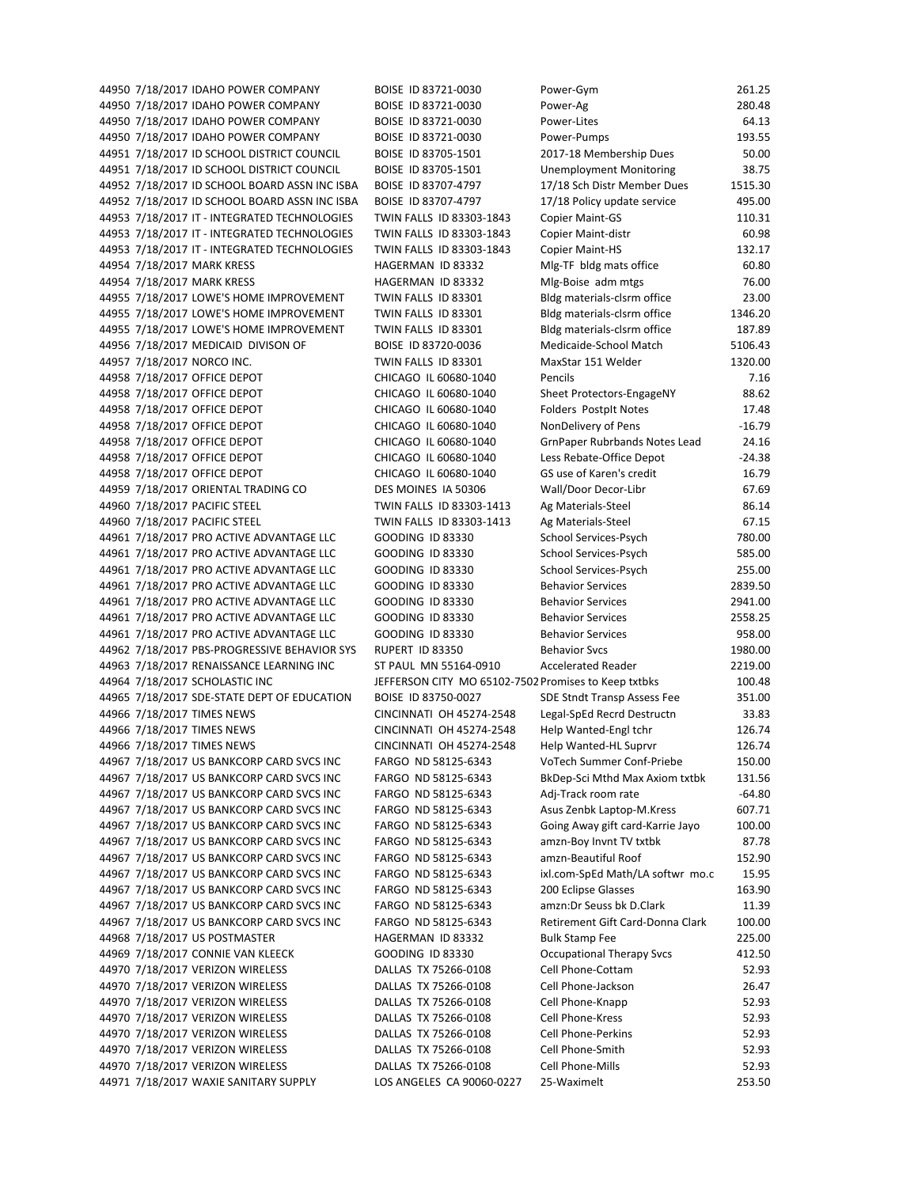44950 7/18/2017 IDAHO POWER COMPANY BOISE ID 83721‐0030 Power‐Ag 280.48 44950 7/18/2017 IDAHO POWER COMPANY BOISE ID 83721‐0030 Power‐Lites 64.13 44950 7/18/2017 IDAHO POWER COMPANY BOISE ID 83721‐0030 Power‐Pumps 193.55 44951 7/18/2017 ID SCHOOL DISTRICT COUNCIL BOISE ID 83705‐1501 2017‐18 Membership Dues 50.00 44951 7/18/2017 ID SCHOOL DISTRICT COUNCIL BOISE ID 83705‐1501 Unemployment Monitoring 38.75 44952 7/18/2017 ID SCHOOL BOARD ASSN INC ISBA BOISE ID 83707-4797 17/18 Sch Distr Member Dues 1515.30 44952 7/18/2017 ID SCHOOL BOARD ASSN INC ISBA BOISE ID 83707-4797 17/18 Policy update service 495.00 44953 7/18/2017 IT ‐ INTEGRATED TECHNOLOGIES TWIN FALLS ID 83303‐1843 Copier Maint‐GS 110.31 44953 7/18/2017 IT ‐ INTEGRATED TECHNOLOGIES TWIN FALLS ID 83303‐1843 Copier Maint‐distr 60.98 44953 7/18/2017 IT - INTEGRATED TECHNOLOGIES TWIN FALLS ID 83303-1843 Copier Maint-HS 132.17 44954 7/18/2017 MARK KRESS HAGERMAN ID 83332 Mlg-TF bldg mats office 60.80 44954 7/18/2017 MARK KRESS HAGERMAN ID 83332 Mlg-Boise adm mtgs 76.00 44955 7/18/2017 LOWE'S HOME IMPROVEMENT TWIN FALLS ID 83301 Bldg materials-clsrm office 23.00 44955 7/18/2017 LOWE'S HOME IMPROVEMENT TWIN FALLS ID 83301 Bldg materials‐clsrm office 1346.20 44955 7/18/2017 LOWE'S HOME IMPROVEMENT TWIN FALLS ID 83301 Bldg materials-clsrm office 187.89 44956 7/18/2017 MEDICAID DIVISON OF BOISE ID 83720-0036 Medicaide-School Match 5106.43 44957 7/18/2017 NORCO INC. TWIN FALLS ID 83301 MaxStar 151 Welder 1320.00 44958 7/18/2017 OFFICE DEPOT CHICAGO IL 60680‐1040 Pencils 7.16 44958 7/18/2017 OFFICE DEPOT CHICAGO IL 60680-1040 Sheet Protectors-EngageNY 88.62 44958 7/18/2017 OFFICE DEPOT CHICAGO IL 60680-1040 Folders Postpit Notes 17.48 44958 7/18/2017 OFFICE DEPOT CHICAGO IL 60680-1040 NonDelivery of Pens -16.79 44958 7/18/2017 OFFICE DEPOT CHICAGO IL 60680‐1040 GrnPaper Rubrbands Notes Lead 24.16 44958 7/18/2017 OFFICE DEPOT CHICAGO IL 60680‐1040 Less Rebate‐Office Depot ‐24.38 44958 7/18/2017 OFFICE DEPOT CHICAGO IL 60680‐1040 GS use of Karen's credit 16.79 44959 7/18/2017 ORIENTAL TRADING CO DES MOINES IA 50306 Wall/Door Decor‐Libr 67.69 44960 7/18/2017 PACIFIC STEEL TWIN FALLS ID 83303‐1413 Ag Materials‐Steel 86.14 44960 7/18/2017 PACIFIC STEEL TWIN FALLS ID 83303‐1413 Ag Materials‐Steel 67.15 44961 7/18/2017 PRO ACTIVE ADVANTAGE LLC GOODING ID 83330 School Services-Psych 780.00 44961 7/18/2017 PRO ACTIVE ADVANTAGE LLC GOODING ID 83330 School Services-Psych 585.00 44961 7/18/2017 PRO ACTIVE ADVANTAGE LLC GOODING ID 83330 School Services-Psych 255.00 44961 7/18/2017 PRO ACTIVE ADVANTAGE LLC GOODING ID 83330 Behavior Services 2839.50 44961 7/18/2017 PRO ACTIVE ADVANTAGE LLC GOODING ID 83330 Behavior Services 2941.00 44961 7/18/2017 PRO ACTIVE ADVANTAGE LLC GOODING ID 83330 Behavior Services 2558.25 44961 7/18/2017 PRO ACTIVE ADVANTAGE LLC GOODING ID 83330 Behavior Services 958.00 44962 7/18/2017 PBS‐PROGRESSIVE BEHAVIOR SYS RUPERT ID 83350 Behavior Svcs 1980.00 44963 7/18/2017 RENAISSANCE LEARNING INC ST PAUL MN 55164-0910 Accelerated Reader 2219.00 44964 7/18/2017 SCHOLASTIC INC JEFFERSON CITY MO 65102-7502 Promises to Keep txtbks 100.48 44965 7/18/2017 SDE-STATE DEPT OF EDUCATION BOISE ID 83750-0027 SDE Stndt Transp Assess Fee 351.00 44966 7/18/2017 TIMES NEWS CINCINNATI OH 45274‐2548 Legal‐SpEd Recrd Destructn 33.83 44966 7/18/2017 TIMES NEWS CINCINNATI OH 45274-2548 Help Wanted-Engl tchr 126.74 44966 7/18/2017 TIMES NEWS CINCINNATI OH 45274‐2548 Help Wanted‐HL Suprvr 126.74 44967 7/18/2017 US BANKCORP CARD SVCS INC FARGO ND 58125‐6343 VoTech Summer Conf‐Priebe 150.00 44967 7/18/2017 US BANKCORP CARD SVCS INC FARGO ND 58125‐6343 BkDep‐Sci Mthd Max Axiom txtbk 131.56 44967 7/18/2017 US BANKCORP CARD SVCS INC FARGO ND 58125‐6343 Adj‐Track room rate ‐64.80 44967 7/18/2017 US BANKCORP CARD SVCS INC FARGO ND 58125‐6343 Asus Zenbk Laptop‐M.Kress 607.71 44967 7/18/2017 US BANKCORP CARD SVCS INC FARGO ND 58125‐6343 Going Away gift card‐Karrie Jayo 100.00 44967 7/18/2017 US BANKCORP CARD SVCS INC FARGO ND 58125-6343 amzn-Boy Invnt TV txtbk 87.78 44967 7/18/2017 US BANKCORP CARD SVCS INC FARGO ND 58125‐6343 amzn‐Beautiful Roof 152.90 44967 7/18/2017 US BANKCORP CARD SVCS INC FARGO ND 58125‐6343 ixl.com‐SpEd Math/LA softwr mo.c 15.95 44967 7/18/2017 US BANKCORP CARD SVCS INC FARGO ND 58125‐6343 200 Eclipse Glasses 163.90 44967 7/18/2017 US BANKCORP CARD SVCS INC FARGO ND 58125-6343 amzn:Dr Seuss bk D.Clark 11.39 44967 7/18/2017 US BANKCORP CARD SVCS INC FARGO ND 58125‐6343 Retirement Gift Card‐Donna Clark 100.00 44968 7/18/2017 US POSTMASTER HAGERMAN ID 83332 Bulk Stamp Fee 225.00 44969 7/18/2017 CONNIE VAN KLEECK GOODING ID 83330 Occupational Therapy Svcs 412.50 44970 7/18/2017 VERIZON WIRELESS DALLAS TX 75266‐0108 Cell Phone‐Cottam 52.93 44970 7/18/2017 VERIZON WIRELESS DALLAS TX 75266‐0108 Cell Phone‐Jackson 26.47 44970 7/18/2017 VERIZON WIRELESS DALLAS TX 75266‐0108 Cell Phone‐Knapp 52.93 44970 7/18/2017 VERIZON WIRELESS DALLAS TX 75266‐0108 Cell Phone‐Kress 52.93 44970 7/18/2017 VERIZON WIRELESS DALLAS TX 75266-0108 Cell Phone-Perkins 52.93 44970 7/18/2017 VERIZON WIRELESS DALLAS TX 75266-0108 Cell Phone-Smith 52.93 44970 7/18/2017 VERIZON WIRELESS DALLAS TX 75266-0108 Cell Phone-Mills 52.93 44971 7/18/2017 WAXIE SANITARY SUPPLY LOS ANGELES CA 90060‐0227 25‐Waximelt 253.50

44950 7/18/2017 IDAHO POWER COMPANY BOISE ID 83721‐0030 Power‐Gym 261.25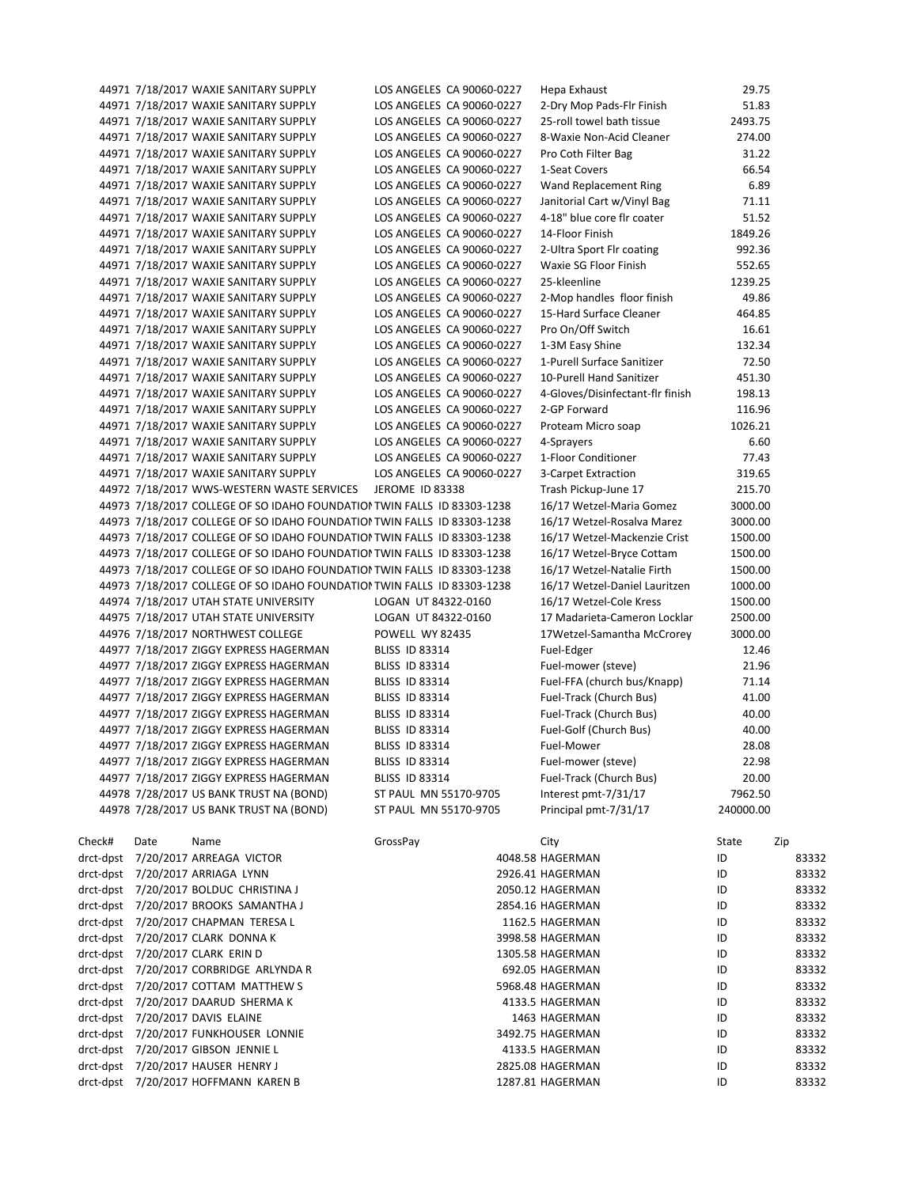|           |      | 44971 7/18/2017 WAXIE SANITARY SUPPLY                                   | LOS ANGELES CA 90060-0227 | Hepa Exhaust                     | 29.75        |       |
|-----------|------|-------------------------------------------------------------------------|---------------------------|----------------------------------|--------------|-------|
|           |      | 44971 7/18/2017 WAXIE SANITARY SUPPLY                                   | LOS ANGELES CA 90060-0227 | 2-Dry Mop Pads-Flr Finish        | 51.83        |       |
|           |      | 44971 7/18/2017 WAXIE SANITARY SUPPLY                                   | LOS ANGELES CA 90060-0227 | 25-roll towel bath tissue        | 2493.75      |       |
|           |      | 44971 7/18/2017 WAXIE SANITARY SUPPLY                                   | LOS ANGELES CA 90060-0227 | 8-Waxie Non-Acid Cleaner         | 274.00       |       |
|           |      | 44971 7/18/2017 WAXIE SANITARY SUPPLY                                   | LOS ANGELES CA 90060-0227 | Pro Coth Filter Bag              | 31.22        |       |
|           |      | 44971 7/18/2017 WAXIE SANITARY SUPPLY                                   | LOS ANGELES CA 90060-0227 | 1-Seat Covers                    | 66.54        |       |
|           |      | 44971 7/18/2017 WAXIE SANITARY SUPPLY                                   | LOS ANGELES CA 90060-0227 | Wand Replacement Ring            | 6.89         |       |
|           |      | 44971 7/18/2017 WAXIE SANITARY SUPPLY                                   | LOS ANGELES CA 90060-0227 | Janitorial Cart w/Vinyl Bag      | 71.11        |       |
|           |      | 44971 7/18/2017 WAXIE SANITARY SUPPLY                                   | LOS ANGELES CA 90060-0227 | 4-18" blue core flr coater       | 51.52        |       |
|           |      | 44971 7/18/2017 WAXIE SANITARY SUPPLY                                   | LOS ANGELES CA 90060-0227 | 14-Floor Finish                  | 1849.26      |       |
|           |      | 44971 7/18/2017 WAXIE SANITARY SUPPLY                                   | LOS ANGELES CA 90060-0227 | 2-Ultra Sport Flr coating        | 992.36       |       |
|           |      | 44971 7/18/2017 WAXIE SANITARY SUPPLY                                   | LOS ANGELES CA 90060-0227 | Waxie SG Floor Finish            | 552.65       |       |
|           |      | 44971 7/18/2017 WAXIE SANITARY SUPPLY                                   | LOS ANGELES CA 90060-0227 | 25-kleenline                     |              |       |
|           |      |                                                                         |                           |                                  | 1239.25      |       |
|           |      | 44971 7/18/2017 WAXIE SANITARY SUPPLY                                   | LOS ANGELES CA 90060-0227 | 2-Mop handles floor finish       | 49.86        |       |
|           |      | 44971 7/18/2017 WAXIE SANITARY SUPPLY                                   | LOS ANGELES CA 90060-0227 | 15-Hard Surface Cleaner          | 464.85       |       |
|           |      | 44971 7/18/2017 WAXIE SANITARY SUPPLY                                   | LOS ANGELES CA 90060-0227 | Pro On/Off Switch                | 16.61        |       |
|           |      | 44971 7/18/2017 WAXIE SANITARY SUPPLY                                   | LOS ANGELES CA 90060-0227 | 1-3M Easy Shine                  | 132.34       |       |
|           |      | 44971 7/18/2017 WAXIE SANITARY SUPPLY                                   | LOS ANGELES CA 90060-0227 | 1-Purell Surface Sanitizer       | 72.50        |       |
|           |      | 44971 7/18/2017 WAXIE SANITARY SUPPLY                                   | LOS ANGELES CA 90060-0227 | 10-Purell Hand Sanitizer         | 451.30       |       |
|           |      | 44971 7/18/2017 WAXIE SANITARY SUPPLY                                   | LOS ANGELES CA 90060-0227 | 4-Gloves/Disinfectant-flr finish | 198.13       |       |
|           |      | 44971 7/18/2017 WAXIE SANITARY SUPPLY                                   | LOS ANGELES CA 90060-0227 | 2-GP Forward                     | 116.96       |       |
|           |      | 44971 7/18/2017 WAXIE SANITARY SUPPLY                                   | LOS ANGELES CA 90060-0227 | Proteam Micro soap               | 1026.21      |       |
|           |      | 44971 7/18/2017 WAXIE SANITARY SUPPLY                                   | LOS ANGELES CA 90060-0227 | 4-Sprayers                       | 6.60         |       |
|           |      | 44971 7/18/2017 WAXIE SANITARY SUPPLY                                   | LOS ANGELES CA 90060-0227 | 1-Floor Conditioner              | 77.43        |       |
|           |      | 44971 7/18/2017 WAXIE SANITARY SUPPLY                                   | LOS ANGELES CA 90060-0227 | 3-Carpet Extraction              | 319.65       |       |
|           |      | 44972 7/18/2017 WWS-WESTERN WASTE SERVICES                              | JEROME ID 83338           | Trash Pickup-June 17             | 215.70       |       |
|           |      | 44973 7/18/2017 COLLEGE OF SO IDAHO FOUNDATION TWIN FALLS ID 83303-1238 |                           | 16/17 Wetzel-Maria Gomez         | 3000.00      |       |
|           |      | 44973 7/18/2017 COLLEGE OF SO IDAHO FOUNDATION TWIN FALLS ID 83303-1238 |                           | 16/17 Wetzel-Rosalva Marez       | 3000.00      |       |
|           |      | 44973 7/18/2017 COLLEGE OF SO IDAHO FOUNDATION TWIN FALLS ID 83303-1238 |                           | 16/17 Wetzel-Mackenzie Crist     | 1500.00      |       |
|           |      | 44973 7/18/2017 COLLEGE OF SO IDAHO FOUNDATION TWIN FALLS ID 83303-1238 |                           | 16/17 Wetzel-Bryce Cottam        | 1500.00      |       |
|           |      | 44973 7/18/2017 COLLEGE OF SO IDAHO FOUNDATION TWIN FALLS ID 83303-1238 |                           | 16/17 Wetzel-Natalie Firth       | 1500.00      |       |
|           |      | 44973 7/18/2017 COLLEGE OF SO IDAHO FOUNDATION TWIN FALLS ID 83303-1238 |                           | 16/17 Wetzel-Daniel Lauritzen    | 1000.00      |       |
|           |      | 44974 7/18/2017 UTAH STATE UNIVERSITY                                   | LOGAN UT 84322-0160       | 16/17 Wetzel-Cole Kress          | 1500.00      |       |
|           |      | 44975 7/18/2017 UTAH STATE UNIVERSITY                                   | LOGAN UT 84322-0160       | 17 Madarieta-Cameron Locklar     | 2500.00      |       |
|           |      | 44976 7/18/2017 NORTHWEST COLLEGE                                       | POWELL WY 82435           | 17Wetzel-Samantha McCrorey       | 3000.00      |       |
|           |      | 44977 7/18/2017 ZIGGY EXPRESS HAGERMAN                                  | <b>BLISS ID 83314</b>     | Fuel-Edger                       | 12.46        |       |
|           |      | 44977 7/18/2017 ZIGGY EXPRESS HAGERMAN                                  | <b>BLISS ID 83314</b>     | Fuel-mower (steve)               | 21.96        |       |
|           |      | 44977 7/18/2017 ZIGGY EXPRESS HAGERMAN                                  | <b>BLISS ID 83314</b>     | Fuel-FFA (church bus/Knapp)      | 71.14        |       |
|           |      | 44977 7/18/2017 ZIGGY EXPRESS HAGERMAN                                  | <b>BLISS ID 83314</b>     | Fuel-Track (Church Bus)          | 41.00        |       |
|           |      | 44977 7/18/2017 ZIGGY EXPRESS HAGERMAN                                  | <b>BLISS ID 83314</b>     | Fuel-Track (Church Bus)          | 40.00        |       |
|           |      | 44977 7/18/2017 ZIGGY EXPRESS HAGERMAN                                  | <b>BLISS ID 83314</b>     | Fuel-Golf (Church Bus)           | 40.00        |       |
|           |      | 44977 7/18/2017 ZIGGY EXPRESS HAGERMAN                                  | <b>BLISS ID 83314</b>     | Fuel-Mower                       | 28.08        |       |
|           |      | 44977 7/18/2017 ZIGGY EXPRESS HAGERMAN                                  | <b>BLISS ID 83314</b>     | Fuel-mower (steve)               | 22.98        |       |
|           |      | 44977 7/18/2017 ZIGGY EXPRESS HAGERMAN                                  | <b>BLISS ID 83314</b>     | Fuel-Track (Church Bus)          | 20.00        |       |
|           |      |                                                                         |                           |                                  |              |       |
|           |      | 44978 7/28/2017 US BANK TRUST NA (BOND)                                 | ST PAUL MN 55170-9705     | Interest pmt-7/31/17             | 7962.50      |       |
|           |      | 44978 7/28/2017 US BANK TRUST NA (BOND)                                 | ST PAUL MN 55170-9705     | Principal pmt-7/31/17            | 240000.00    |       |
|           |      |                                                                         |                           |                                  |              |       |
| Check#    | Date | Name                                                                    | GrossPay                  | City                             | State<br>Zip |       |
| drct-dpst |      | 7/20/2017 ARREAGA VICTOR                                                |                           | 4048.58 HAGERMAN                 | ID           | 83332 |
|           |      | drct-dpst 7/20/2017 ARRIAGA LYNN                                        |                           | 2926.41 HAGERMAN                 | ID           | 83332 |
|           |      | drct-dpst 7/20/2017 BOLDUC CHRISTINA J                                  |                           | 2050.12 HAGERMAN                 | ID           | 83332 |
|           |      | drct-dpst 7/20/2017 BROOKS SAMANTHA J                                   |                           | 2854.16 HAGERMAN                 | ID           | 83332 |
|           |      | drct-dpst 7/20/2017 CHAPMAN TERESA L                                    |                           | 1162.5 HAGERMAN                  | ID           | 83332 |
|           |      | drct-dpst 7/20/2017 CLARK DONNA K                                       |                           | 3998.58 HAGERMAN                 | ID           | 83332 |
|           |      | drct-dpst 7/20/2017 CLARK ERIN D                                        |                           | 1305.58 HAGERMAN                 | ID           | 83332 |
|           |      | drct-dpst 7/20/2017 CORBRIDGE ARLYNDA R                                 |                           | 692.05 HAGERMAN                  | ID           | 83332 |
|           |      | drct-dpst 7/20/2017 COTTAM MATTHEW S                                    |                           | 5968.48 HAGERMAN                 | ID           | 83332 |
|           |      | drct-dpst 7/20/2017 DAARUD SHERMA K                                     |                           | 4133.5 HAGERMAN                  | ID           | 83332 |
|           |      | drct-dpst 7/20/2017 DAVIS ELAINE                                        |                           | 1463 HAGERMAN                    | ID           | 83332 |
|           |      | drct-dpst 7/20/2017 FUNKHOUSER LONNIE                                   |                           | 3492.75 HAGERMAN                 | ID           | 83332 |
|           |      | drct-dpst 7/20/2017 GIBSON JENNIE L                                     |                           | 4133.5 HAGERMAN                  | ID           | 83332 |
|           |      | drct-dpst 7/20/2017 HAUSER HENRY J                                      |                           | 2825.08 HAGERMAN                 | ID           | 83332 |
|           |      | drct-dpst 7/20/2017 HOFFMANN KAREN B                                    |                           | 1287.81 HAGERMAN                 | ID           | 83332 |
|           |      |                                                                         |                           |                                  |              |       |